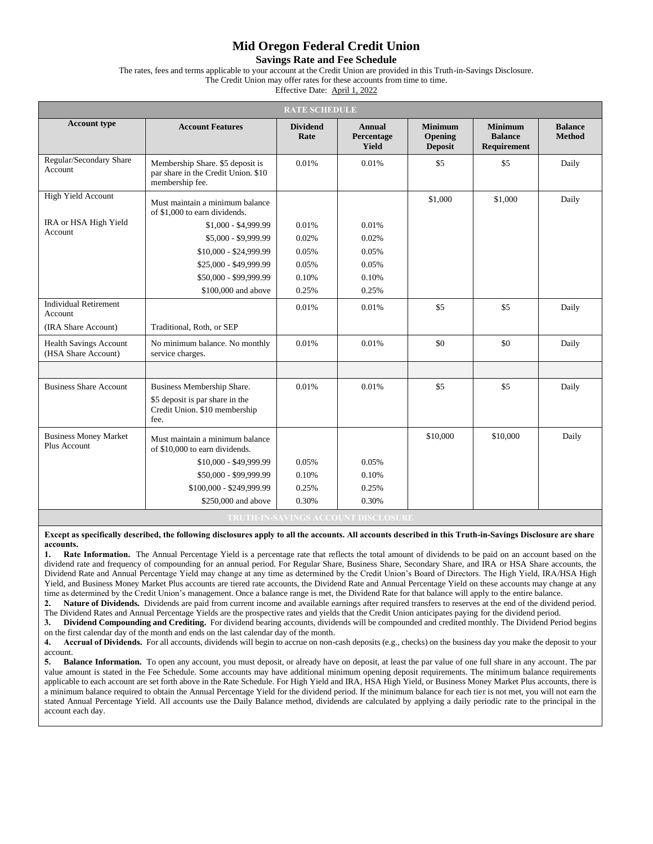## **Mid Oregon Federal Credit Union**

**Savings Rate and Fee Schedule**

The rates, fees and terms applicable to your account at the Credit Union are provided in this Truth-in-Savings Disclosure.

The Credit Union may offer rates for these accounts from time to time.

Effective Date: April 1, 2022

| <b>RATE SCHEDULE</b>                                   |                                                                                            |                         |                                      |                                             |                                                 |                                 |  |
|--------------------------------------------------------|--------------------------------------------------------------------------------------------|-------------------------|--------------------------------------|---------------------------------------------|-------------------------------------------------|---------------------------------|--|
| <b>Account type</b>                                    | <b>Account Features</b>                                                                    | <b>Dividend</b><br>Rate | Annual<br>Percentage<br><b>Yield</b> | <b>Minimum</b><br>Opening<br><b>Deposit</b> | <b>Minimum</b><br><b>Balance</b><br>Requirement | <b>Balance</b><br><b>Method</b> |  |
| Regular/Secondary Share<br>Account                     | Membership Share. \$5 deposit is<br>par share in the Credit Union. \$10<br>membership fee. | 0.01%                   | 0.01%                                | \$5                                         | \$5                                             | Daily                           |  |
| High Yield Account<br>IRA or HSA High Yield<br>Account | Must maintain a minimum balance<br>of \$1,000 to earn dividends.                           |                         |                                      | \$1,000                                     | \$1,000                                         | Daily                           |  |
|                                                        | $$1,000 - $4,999.99$                                                                       | 0.01%                   | 0.01%                                |                                             |                                                 |                                 |  |
|                                                        | $$5,000 - $9,999.99$                                                                       | 0.02%                   | 0.02%                                |                                             |                                                 |                                 |  |
|                                                        | \$10,000 - \$24,999.99                                                                     | 0.05%                   | 0.05%                                |                                             |                                                 |                                 |  |
|                                                        | \$25,000 - \$49,999.99                                                                     | 0.05%                   | 0.05%                                |                                             |                                                 |                                 |  |
|                                                        | \$50,000 - \$99,999.99                                                                     | 0.10%                   | 0.10%                                |                                             |                                                 |                                 |  |
|                                                        | \$100,000 and above                                                                        | 0.25%                   | 0.25%                                |                                             |                                                 |                                 |  |
| <b>Individual Retirement</b><br>Account                |                                                                                            | 0.01%                   | 0.01%                                | \$5                                         | \$5                                             | Daily                           |  |
| (IRA Share Account)                                    | Traditional, Roth, or SEP                                                                  |                         |                                      |                                             |                                                 |                                 |  |
| <b>Health Savings Account</b><br>(HSA Share Account)   | No minimum balance. No monthly<br>service charges.                                         | 0.01%                   | 0.01%                                | \$0                                         | \$0                                             | Daily                           |  |
|                                                        |                                                                                            |                         |                                      |                                             |                                                 |                                 |  |
| <b>Business Share Account</b>                          | Business Membership Share.                                                                 | 0.01%                   | 0.01%                                | \$5                                         | \$5                                             | Daily                           |  |
|                                                        | \$5 deposit is par share in the<br>Credit Union. \$10 membership<br>fee.                   |                         |                                      |                                             |                                                 |                                 |  |
| <b>Business Money Market</b><br>Plus Account           | Must maintain a minimum balance<br>of \$10,000 to earn dividends.                          |                         |                                      | \$10,000                                    | \$10,000                                        | Daily                           |  |
|                                                        | \$10,000 - \$49,999.99                                                                     | 0.05%                   | 0.05%                                |                                             |                                                 |                                 |  |
|                                                        | \$50,000 - \$99,999.99                                                                     | 0.10%                   | 0.10%                                |                                             |                                                 |                                 |  |
|                                                        | \$100,000 - \$249,999.99                                                                   | 0.25%                   | 0.25%                                |                                             |                                                 |                                 |  |
|                                                        | \$250,000 and above                                                                        | 0.30%                   | 0.30%                                |                                             |                                                 |                                 |  |
| <u>V ALVINIAA LAAMINIT NIAALAA</u>                     |                                                                                            |                         |                                      |                                             |                                                 |                                 |  |

**Except as specifically described, the following disclosures apply to all the accounts. All accounts described in this Truth-in-Savings Disclosure are share accounts.**

Rate Information. The Annual Percentage Yield is a percentage rate that reflects the total amount of dividends to be paid on an account based on the dividend rate and frequency of compounding for an annual period. For Regular Share, Business Share, Secondary Share, and IRA or HSA Share accounts, the Dividend Rate and Annual Percentage Yield may change at any time as determined by the Credit Union's Board of Directors. The High Yield, IRA/HSA High Yield, and Business Money Market Plus accounts are tiered rate accounts, the Dividend Rate and Annual Percentage Yield on these accounts may change at any time as determined by the Credit Union's management. Once a balance range is met, the Dividend Rate for that balance will apply to the entire balance.

**2. Nature of Dividends.** Dividends are paid from current income and available earnings after required transfers to reserves at the end of the dividend period. The Dividend Rates and Annual Percentage Yields are the prospective rates and yields that the Credit Union anticipates paying for the dividend period.

**3. Dividend Compounding and Crediting.** For dividend bearing accounts, dividends will be compounded and credited monthly. The Dividend Period begins on the first calendar day of the month and ends on the last calendar day of the month.

**4. Accrual of Dividends.** For all accounts, dividends will begin to accrue on non-cash deposits (e.g., checks) on the business day you make the deposit to your account.

**5. Balance Information.** To open any account, you must deposit, or already have on deposit, at least the par value of one full share in any account. The par value amount is stated in the Fee Schedule. Some accounts may have additional minimum opening deposit requirements. The minimum balance requirements applicable to each account are set forth above in the Rate Schedule. For High Yield and IRA, HSA High Yield, or Business Money Market Plus accounts, there is a minimum balance required to obtain the Annual Percentage Yield for the dividend period. If the minimum balance for each tier is not met, you will not earn the stated Annual Percentage Yield. All accounts use the Daily Balance method, dividends are calculated by applying a daily periodic rate to the principal in the account each day.